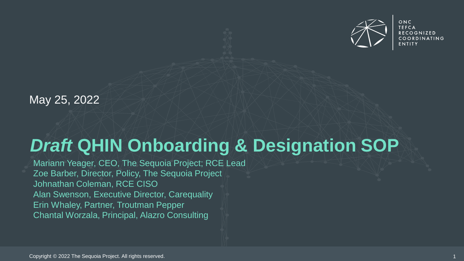

ONC **TEFCA RECOGNIZED** COORDINATING

May 25, 2022

# *Draft* **QHIN Onboarding & Designation SOP**

Mariann Yeager, CEO, The Sequoia Project; RCE Lead Zoe Barber, Director, Policy, The Sequoia Project Johnathan Coleman, RCE CISO Alan Swenson, Executive Director, Carequality Erin Whaley, Partner, Troutman Pepper Chantal Worzala, Principal, Alazro Consulting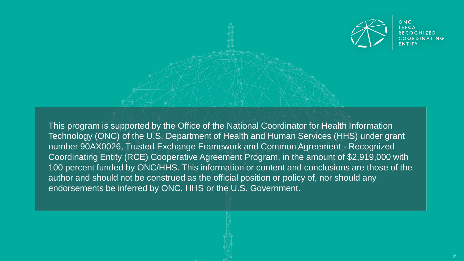

This program is supported by the Office of the National Coordinator for Health Information Technology (ONC) of the U.S. Department of Health and Human Services (HHS) under grant number 90AX0026, Trusted Exchange Framework and Common Agreement - Recognized Coordinating Entity (RCE) Cooperative Agreement Program, in the amount of \$2,919,000 with 100 percent funded by ONC/HHS. This information or content and conclusions are those of the author and should not be construed as the official position or policy of, nor should any endorsements be inferred by ONC, HHS or the U.S. Government.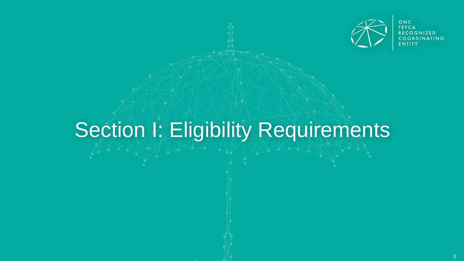

ONC<br>TEFCA RECOGNIZED COORDINATING **FNTITY** 

# Section *I: Eligibility Requirements*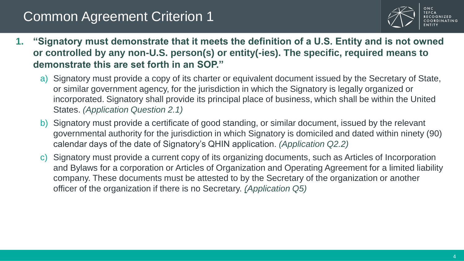

- **1. "Signatory must demonstrate that it meets the definition of a U.S. Entity and is not owned or controlled by any non-U.S. person(s) or entity(-ies). The specific, required means to demonstrate this are set forth in an SOP."**
	- a) Signatory must provide a copy of its charter or equivalent document issued by the Secretary of State, or similar government agency, for the jurisdiction in which the Signatory is legally organized or incorporated. Signatory shall provide its principal place of business, which shall be within the United States. *(Application Question 2.1)*
	- b) Signatory must provide a certificate of good standing, or similar document, issued by the relevant governmental authority for the jurisdiction in which Signatory is domiciled and dated within ninety (90) calendar days of the date of Signatory's QHIN application. *(Application Q2.2)*
	- c) Signatory must provide a current copy of its organizing documents, such as Articles of Incorporation and Bylaws for a corporation or Articles of Organization and Operating Agreement for a limited liability company. These documents must be attested to by the Secretary of the organization or another officer of the organization if there is no Secretary. *(Application Q5)*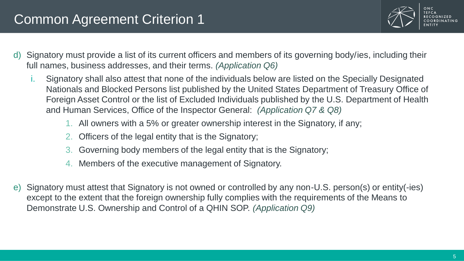

- d) Signatory must provide a list of its current officers and members of its governing body/ies, including their full names, business addresses, and their terms. *(Application Q6)*
	- i. Signatory shall also attest that none of the individuals below are listed on the Specially Designated Nationals and Blocked Persons list published by the United States Department of Treasury Office of Foreign Asset Control or the list of Excluded Individuals published by the U.S. Department of Health and Human Services, Office of the Inspector General: *(Application Q7 & Q8)*
		- 1. All owners with a 5% or greater ownership interest in the Signatory, if any;
		- 2. Officers of the legal entity that is the Signatory;
		- 3. Governing body members of the legal entity that is the Signatory;
		- 4. Members of the executive management of Signatory.
- e) Signatory must attest that Signatory is not owned or controlled by any non-U.S. person(s) or entity(-ies) except to the extent that the foreign ownership fully complies with the requirements of the Means to Demonstrate U.S. Ownership and Control of a QHIN SOP. *(Application Q9)*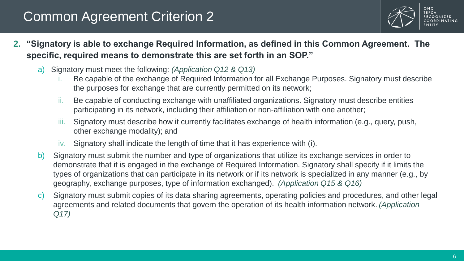

- **2. "Signatory is able to exchange Required Information, as defined in this Common Agreement. The specific, required means to demonstrate this are set forth in an SOP."** 
	- a) Signatory must meet the following: *(Application Q12 & Q13)*
		- i. Be capable of the exchange of Required Information for all Exchange Purposes. Signatory must describe the purposes for exchange that are currently permitted on its network;
		- ii. Be capable of conducting exchange with unaffiliated organizations. Signatory must describe entities participating in its network, including their affiliation or non-affiliation with one another;
		- iii. Signatory must describe how it currently facilitates exchange of health information (e.g., query, push, other exchange modality); and
		- iv. Signatory shall indicate the length of time that it has experience with (i).
	- b) Signatory must submit the number and type of organizations that utilize its exchange services in order to demonstrate that it is engaged in the exchange of Required Information. Signatory shall specify if it limits the types of organizations that can participate in its network or if its network is specialized in any manner (e.g., by geography, exchange purposes, type of information exchanged). *(Application Q15 & Q16)*
	- c) Signatory must submit copies of its data sharing agreements, operating policies and procedures, and other legal agreements and related documents that govern the operation of its health information network. *(Application Q17)*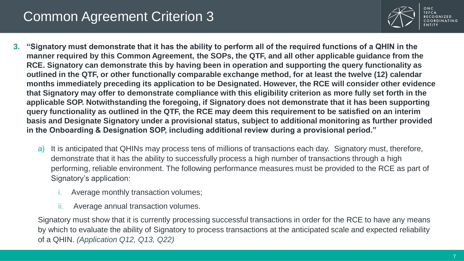

- **3. "Signatory must demonstrate that it has the ability to perform all of the required functions of a QHIN in the manner required by this Common Agreement, the SOPs, the QTF, and all other applicable guidance from the RCE. Signatory can demonstrate this by having been in operation and supporting the query functionality as outlined in the QTF, or other functionally comparable exchange method, for at least the twelve (12) calendar months immediately preceding its application to be Designated. However, the RCE will consider other evidence that Signatory may offer to demonstrate compliance with this eligibility criterion as more fully set forth in the applicable SOP. Notwithstanding the foregoing, if Signatory does not demonstrate that it has been supporting query functionality as outlined in the QTF, the RCE may deem this requirement to be satisfied on an interim basis and Designate Signatory under a provisional status, subject to additional monitoring as further provided in the Onboarding & Designation SOP, including additional review during a provisional period."**
	- a) It is anticipated that QHINs may process tens of millions of transactions each day. Signatory must, therefore, demonstrate that it has the ability to successfully process a high number of transactions through a high performing, reliable environment. The following performance measures must be provided to the RCE as part of Signatory's application:
		- Average monthly transaction volumes;
		- ii. Average annual transaction volumes.

Signatory must show that it is currently processing successful transactions in order for the RCE to have any means by which to evaluate the ability of Signatory to process transactions at the anticipated scale and expected reliability of a QHIN. *(Application Q12, Q13, Q22)*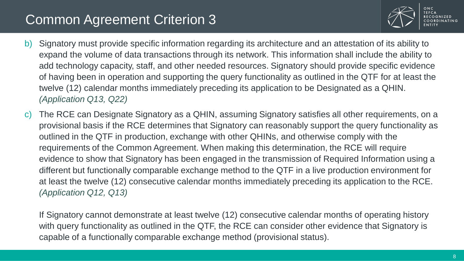

- b) Signatory must provide specific information regarding its architecture and an attestation of its ability to expand the volume of data transactions through its network. This information shall include the ability to add technology capacity, staff, and other needed resources. Signatory should provide specific evidence of having been in operation and supporting the query functionality as outlined in the QTF for at least the twelve (12) calendar months immediately preceding its application to be Designated as a QHIN. *(Application Q13, Q22)*
- c) The RCE can Designate Signatory as a QHIN, assuming Signatory satisfies all other requirements, on a provisional basis if the RCE determines that Signatory can reasonably support the query functionality as outlined in the QTF in production, exchange with other QHINs, and otherwise comply with the requirements of the Common Agreement. When making this determination, the RCE will require evidence to show that Signatory has been engaged in the transmission of Required Information using a different but functionally comparable exchange method to the QTF in a live production environment for at least the twelve (12) consecutive calendar months immediately preceding its application to the RCE. *(Application Q12, Q13)*

If Signatory cannot demonstrate at least twelve (12) consecutive calendar months of operating history with query functionality as outlined in the QTF, the RCE can consider other evidence that Signatory is capable of a functionally comparable exchange method (provisional status).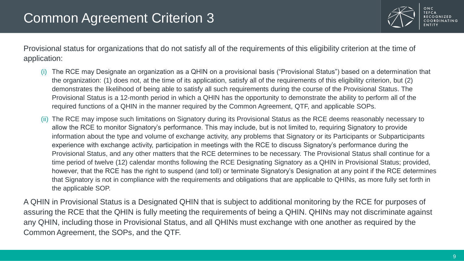

Provisional status for organizations that do not satisfy all of the requirements of this eligibility criterion at the time of application:

- (i) The RCE may Designate an organization as a QHIN on a provisional basis ("Provisional Status") based on a determination that the organization: (1) does not, at the time of its application, satisfy all of the requirements of this eligibility criterion, but (2) demonstrates the likelihood of being able to satisfy all such requirements during the course of the Provisional Status. The Provisional Status is a 12-month period in which a QHIN has the opportunity to demonstrate the ability to perform all of the required functions of a QHIN in the manner required by the Common Agreement, QTF, and applicable SOPs.
- (ii) The RCE may impose such limitations on Signatory during its Provisional Status as the RCE deems reasonably necessary to allow the RCE to monitor Signatory's performance. This may include, but is not limited to, requiring Signatory to provide information about the type and volume of exchange activity, any problems that Signatory or its Participants or Subparticipants experience with exchange activity, participation in meetings with the RCE to discuss Signatory's performance during the Provisional Status, and any other matters that the RCE determines to be necessary. The Provisional Status shall continue for a time period of twelve (12) calendar months following the RCE Designating Signatory as a QHIN in Provisional Status; provided, however, that the RCE has the right to suspend (and toll) or terminate Signatory's Designation at any point if the RCE determines that Signatory is not in compliance with the requirements and obligations that are applicable to QHINs, as more fully set forth in the applicable SOP.

A QHIN in Provisional Status is a Designated QHIN that is subject to additional monitoring by the RCE for purposes of assuring the RCE that the QHIN is fully meeting the requirements of being a QHIN. QHINs may not discriminate against any QHIN, including those in Provisional Status, and all QHINs must exchange with one another as required by the Common Agreement, the SOPs, and the QTF.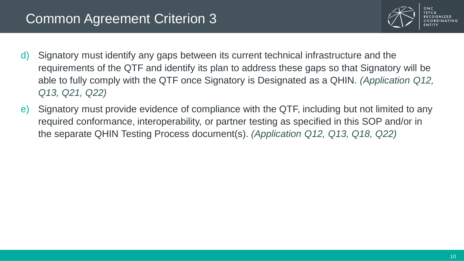

- d) Signatory must identify any gaps between its current technical infrastructure and the requirements of the QTF and identify its plan to address these gaps so that Signatory will be able to fully comply with the QTF once Signatory is Designated as a QHIN. *(Application Q12, Q13, Q21, Q22)*
- e) Signatory must provide evidence of compliance with the QTF, including but not limited to any required conformance, interoperability, or partner testing as specified in this SOP and/or in the separate QHIN Testing Process document(s). *(Application Q12, Q13, Q18, Q22)*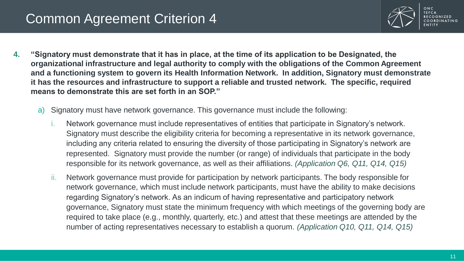

- **4. "Signatory must demonstrate that it has in place, at the time of its application to be Designated, the organizational infrastructure and legal authority to comply with the obligations of the Common Agreement and a functioning system to govern its Health Information Network. In addition, Signatory must demonstrate it has the resources and infrastructure to support a reliable and trusted network. The specific, required means to demonstrate this are set forth in an SOP."** 
	- a) Signatory must have network governance. This governance must include the following:
		- i. Network governance must include representatives of entities that participate in Signatory's network. Signatory must describe the eligibility criteria for becoming a representative in its network governance, including any criteria related to ensuring the diversity of those participating in Signatory's network are represented. Signatory must provide the number (or range) of individuals that participate in the body responsible for its network governance, as well as their affiliations. *(Application Q6, Q11, Q14, Q15)*
		- ii. Network governance must provide for participation by network participants. The body responsible for network governance, which must include network participants, must have the ability to make decisions regarding Signatory's network. As an indicum of having representative and participatory network governance, Signatory must state the minimum frequency with which meetings of the governing body are required to take place (e.g., monthly, quarterly, etc.) and attest that these meetings are attended by the number of acting representatives necessary to establish a quorum. *(Application Q10, Q11, Q14, Q15)*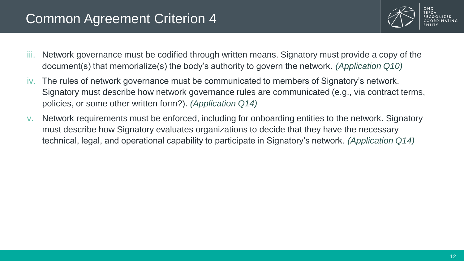

- iii. Network governance must be codified through written means. Signatory must provide a copy of the document(s) that memorialize(s) the body's authority to govern the network. *(Application Q10)*
- iv. The rules of network governance must be communicated to members of Signatory's network. Signatory must describe how network governance rules are communicated (e.g., via contract terms, policies, or some other written form?). *(Application Q14)*
- v. Network requirements must be enforced, including for onboarding entities to the network. Signatory must describe how Signatory evaluates organizations to decide that they have the necessary technical, legal, and operational capability to participate in Signatory's network. *(Application Q14)*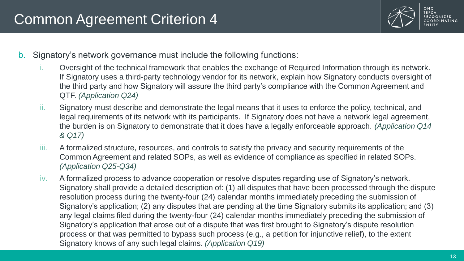

COORDINATING

- b. Signatory's network governance must include the following functions:
	- i. Oversight of the technical framework that enables the exchange of Required Information through its network. If Signatory uses a third-party technology vendor for its network, explain how Signatory conducts oversight of the third party and how Signatory will assure the third party's compliance with the Common Agreement and QTF. *(Application Q24)*
	- ii. Signatory must describe and demonstrate the legal means that it uses to enforce the policy, technical, and legal requirements of its network with its participants. If Signatory does not have a network legal agreement, the burden is on Signatory to demonstrate that it does have a legally enforceable approach. *(Application Q14 & Q17)*
	- iii. A formalized structure, resources, and controls to satisfy the privacy and security requirements of the Common Agreement and related SOPs, as well as evidence of compliance as specified in related SOPs. *(Application Q25-Q34)*
	- iv. A formalized process to advance cooperation or resolve disputes regarding use of Signatory's network. Signatory shall provide a detailed description of: (1) all disputes that have been processed through the dispute resolution process during the twenty-four (24) calendar months immediately preceding the submission of Signatory's application; (2) any disputes that are pending at the time Signatory submits its application; and (3) any legal claims filed during the twenty-four (24) calendar months immediately preceding the submission of Signatory's application that arose out of a dispute that was first brought to Signatory's dispute resolution process or that was permitted to bypass such process (e.g., a petition for injunctive relief), to the extent Signatory knows of any such legal claims. *(Application Q19)*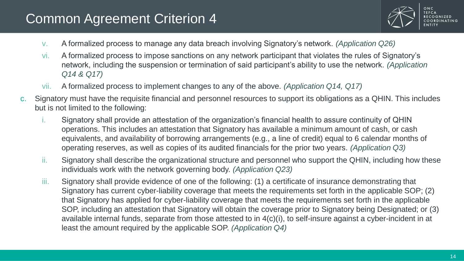

- v. A formalized process to manage any data breach involving Signatory's network. *(Application Q26)*
- vi. A formalized process to impose sanctions on any network participant that violates the rules of Signatory's network, including the suspension or termination of said participant's ability to use the network. *(Application Q14 & Q17)*
- vii. A formalized process to implement changes to any of the above. *(Application Q14, Q17)*
- c. Signatory must have the requisite financial and personnel resources to support its obligations as a QHIN. This includes but is not limited to the following:
	- Signatory shall provide an attestation of the organization's financial health to assure continuity of QHIN operations. This includes an attestation that Signatory has available a minimum amount of cash, or cash equivalents, and availability of borrowing arrangements (e.g., a line of credit) equal to 6 calendar months of operating reserves, as well as copies of its audited financials for the prior two years. *(Application Q3)*
	- ii. Signatory shall describe the organizational structure and personnel who support the QHIN, including how these individuals work with the network governing body. *(Application Q23)*
	- iii. Signatory shall provide evidence of one of the following: (1) a certificate of insurance demonstrating that Signatory has current cyber-liability coverage that meets the requirements set forth in the applicable SOP; (2) that Signatory has applied for cyber-liability coverage that meets the requirements set forth in the applicable SOP, including an attestation that Signatory will obtain the coverage prior to Signatory being Designated; or (3) available internal funds, separate from those attested to in 4(c)(i), to self-insure against a cyber-incident in at least the amount required by the applicable SOP. *(Application Q4)*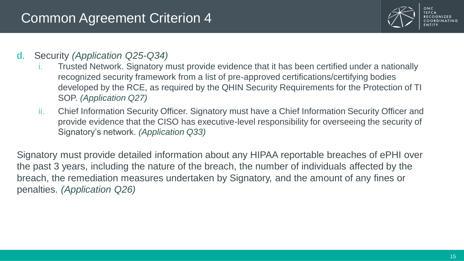

#### d. Security *(Application Q25-Q34)*

- i. Trusted Network. Signatory must provide evidence that it has been certified under a nationally recognized security framework from a list of pre-approved certifications/certifying bodies developed by the RCE, as required by the QHIN Security Requirements for the Protection of TI SOP. *(Application Q27)*
- ii. Chief Information Security Officer. Signatory must have a Chief Information Security Officer and provide evidence that the CISO has executive-level responsibility for overseeing the security of Signatory's network. *(Application Q33)*

Signatory must provide detailed information about any HIPAA reportable breaches of ePHI over the past 3 years, including the nature of the breach, the number of individuals affected by the breach, the remediation measures undertaken by Signatory, and the amount of any fines or penalties. *(Application Q26)*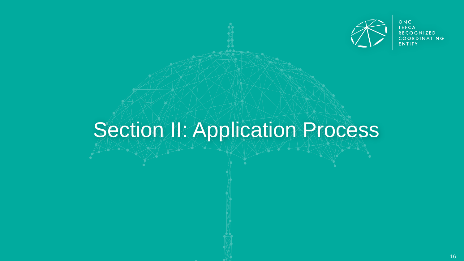

ONC<br>TEFCA **RECOGNIZED** COORDINATING **FNTITY** 

# Section II: Application Process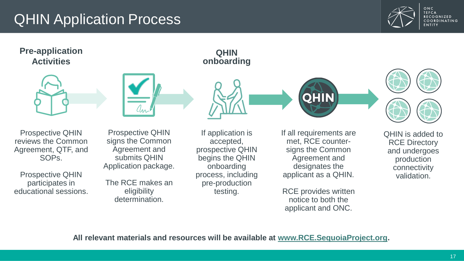#### QHIN Application Process



ONC **TEFCA RECOGNIZED** COORDINATING **FNTITY** 

#### **Pre-application Activities**







**QHIN onboarding**





Prospective QHIN reviews the Common Agreement, QTF, and SOPs.

Prospective QHIN participates in educational sessions.

Prospective QHIN signs the Common Agreement and submits QHIN Application package.

The RCE makes an eligibility determination.

If application is accepted, prospective QHIN begins the QHIN onboarding process, including pre-production testing.

If all requirements are met, RCE countersigns the Common Agreement and designates the applicant as a QHIN.

RCE provides written notice to both the applicant and ONC.

QHIN is added to RCE Directory and undergoes production connectivity validation.

**All relevant materials and resources will be available at [www.RCE.SequoiaProject.org.](http://www.rce.sequoiaproject.org/)**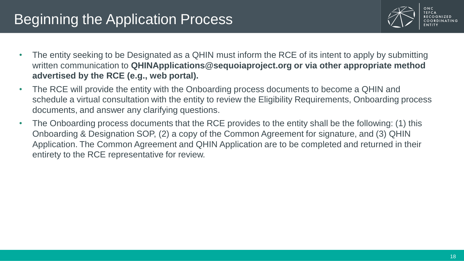# Beginning the Application Process



- The entity seeking to be Designated as a QHIN must inform the RCE of its intent to apply by submitting written communication to **QHINApplications@sequoiaproject.org or via other appropriate method advertised by the RCE (e.g., web portal).**
- The RCE will provide the entity with the Onboarding process documents to become a QHIN and schedule a virtual consultation with the entity to review the Eligibility Requirements, Onboarding process documents, and answer any clarifying questions.
- The Onboarding process documents that the RCE provides to the entity shall be the following: (1) this Onboarding & Designation SOP, (2) a copy of the Common Agreement for signature, and (3) QHIN Application. The Common Agreement and QHIN Application are to be completed and returned in their entirety to the RCE representative for review.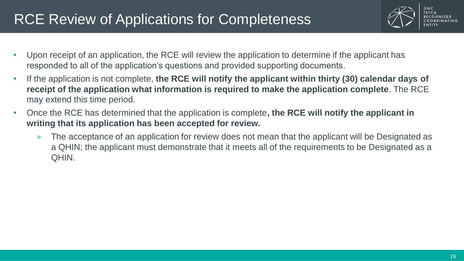# RCE Review of Applications for Completeness



- Upon receipt of an application, the RCE will review the application to determine if the applicant has responded to all of the application's questions and provided supporting documents.
- If the application is not complete, **the RCE will notify the applicant within thirty (30) calendar days of receipt of the application what information is required to make the application complete**. The RCE may extend this time period.
- Once the RCE has determined that the application is complete**, the RCE will notify the applicant in writing that its application has been accepted for review.** 
	- » The acceptance of an application for review does not mean that the applicant will be Designated as a QHIN; the applicant must demonstrate that it meets all of the requirements to be Designated as a QHIN.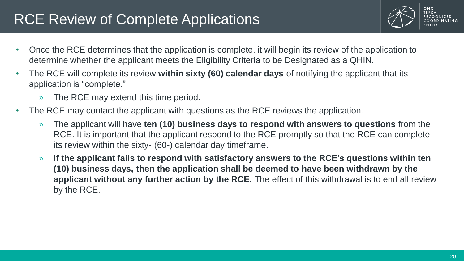### RCE Review of Complete Applications



- Once the RCE determines that the application is complete, it will begin its review of the application to determine whether the applicant meets the Eligibility Criteria to be Designated as a QHIN.
- The RCE will complete its review **within sixty (60) calendar days** of notifying the applicant that its application is "complete."
	- » The RCE may extend this time period.
- The RCE may contact the applicant with questions as the RCE reviews the application.
	- » The applicant will have **ten (10) business days to respond with answers to questions** from the RCE. It is important that the applicant respond to the RCE promptly so that the RCE can complete its review within the sixty- (60-) calendar day timeframe.
	- » **If the applicant fails to respond with satisfactory answers to the RCE's questions within ten (10) business days, then the application shall be deemed to have been withdrawn by the applicant without any further action by the RCE.** The effect of this withdrawal is to end all review by the RCE.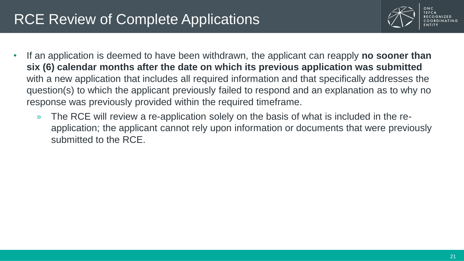# RCE Review of Complete Applications



- If an application is deemed to have been withdrawn, the applicant can reapply **no sooner than six (6) calendar months after the date on which its previous application was submitted**  with a new application that includes all required information and that specifically addresses the question(s) to which the applicant previously failed to respond and an explanation as to why no response was previously provided within the required timeframe.
	- » The RCE will review a re-application solely on the basis of what is included in the reapplication; the applicant cannot rely upon information or documents that were previously submitted to the RCE.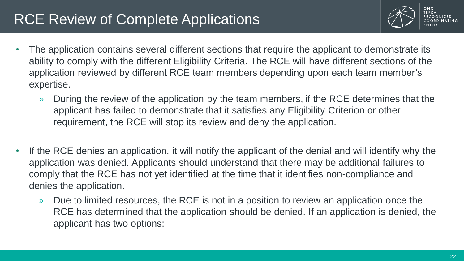## RCE Review of Complete Applications



- The application contains several different sections that require the applicant to demonstrate its ability to comply with the different Eligibility Criteria. The RCE will have different sections of the application reviewed by different RCE team members depending upon each team member's expertise.
	- » During the review of the application by the team members, if the RCE determines that the applicant has failed to demonstrate that it satisfies any Eligibility Criterion or other requirement, the RCE will stop its review and deny the application.
- If the RCE denies an application, it will notify the applicant of the denial and will identify why the application was denied. Applicants should understand that there may be additional failures to comply that the RCE has not yet identified at the time that it identifies non-compliance and denies the application.
	- » Due to limited resources, the RCE is not in a position to review an application once the RCE has determined that the application should be denied. If an application is denied, the applicant has two options: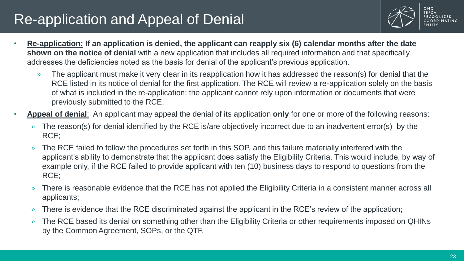# Re-application and Appeal of Denial



- **Re-application: If an application is denied, the applicant can reapply six (6) calendar months after the date shown on the notice of denial** with a new application that includes all required information and that specifically addresses the deficiencies noted as the basis for denial of the applicant's previous application.
	- » The applicant must make it very clear in its reapplication how it has addressed the reason(s) for denial that the RCE listed in its notice of denial for the first application. The RCE will review a re-application solely on the basis of what is included in the re-application; the applicant cannot rely upon information or documents that were previously submitted to the RCE.
- **Appeal of denial**: An applicant may appeal the denial of its application **only** for one or more of the following reasons:
	- » The reason(s) for denial identified by the RCE is/are objectively incorrect due to an inadvertent error(s) by the RCE;
	- » The RCE failed to follow the procedures set forth in this SOP, and this failure materially interfered with the applicant's ability to demonstrate that the applicant does satisfy the Eligibility Criteria. This would include, by way of example only, if the RCE failed to provide applicant with ten (10) business days to respond to questions from the RCE;
	- » There is reasonable evidence that the RCE has not applied the Eligibility Criteria in a consistent manner across all applicants;
	- » There is evidence that the RCE discriminated against the applicant in the RCE's review of the application;
	- » The RCE based its denial on something other than the Eligibility Criteria or other requirements imposed on QHINs by the Common Agreement, SOPs, or the QTF.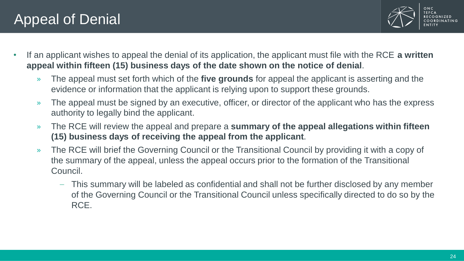## Appeal of Denial



- If an applicant wishes to appeal the denial of its application, the applicant must file with the RCE **a written appeal within fifteen (15) business days of the date shown on the notice of denial**.
	- » The appeal must set forth which of the **five grounds** for appeal the applicant is asserting and the evidence or information that the applicant is relying upon to support these grounds.
	- » The appeal must be signed by an executive, officer, or director of the applicant who has the express authority to legally bind the applicant.
	- » The RCE will review the appeal and prepare a **summary of the appeal allegations within fifteen (15) business days of receiving the appeal from the applicant**.
	- » The RCE will brief the Governing Council or the Transitional Council by providing it with a copy of the summary of the appeal, unless the appeal occurs prior to the formation of the Transitional Council.
		- This summary will be labeled as confidential and shall not be further disclosed by any member of the Governing Council or the Transitional Council unless specifically directed to do so by the RCE.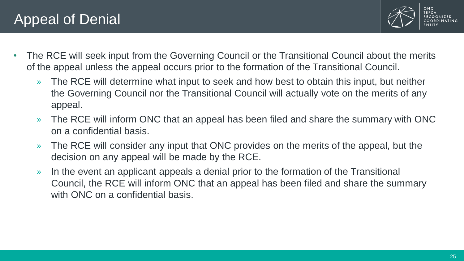

- The RCE will seek input from the Governing Council or the Transitional Council about the merits of the appeal unless the appeal occurs prior to the formation of the Transitional Council.
	- » The RCE will determine what input to seek and how best to obtain this input, but neither the Governing Council nor the Transitional Council will actually vote on the merits of any appeal.
	- » The RCE will inform ONC that an appeal has been filed and share the summary with ONC on a confidential basis.
	- » The RCE will consider any input that ONC provides on the merits of the appeal, but the decision on any appeal will be made by the RCE.
	- » In the event an applicant appeals a denial prior to the formation of the Transitional Council, the RCE will inform ONC that an appeal has been filed and share the summary with ONC on a confidential basis.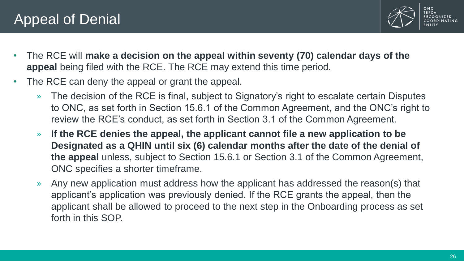

- The RCE will **make a decision on the appeal within seventy (70) calendar days of the appeal** being filed with the RCE. The RCE may extend this time period.
- The RCE can deny the appeal or grant the appeal.
	- » The decision of the RCE is final, subject to Signatory's right to escalate certain Disputes to ONC, as set forth in Section 15.6.1 of the Common Agreement, and the ONC's right to review the RCE's conduct, as set forth in Section 3.1 of the Common Agreement.
	- » **If the RCE denies the appeal, the applicant cannot file a new application to be Designated as a QHIN until six (6) calendar months after the date of the denial of the appeal** unless, subject to Section 15.6.1 or Section 3.1 of the Common Agreement, ONC specifies a shorter timeframe.
	- » Any new application must address how the applicant has addressed the reason(s) that applicant's application was previously denied. If the RCE grants the appeal, then the applicant shall be allowed to proceed to the next step in the Onboarding process as set forth in this SOP.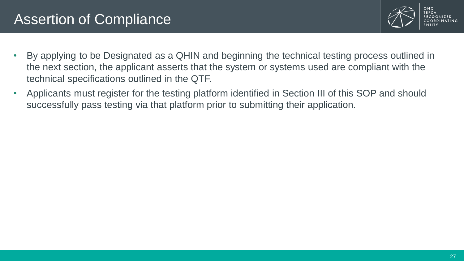### Assertion of Compliance



- By applying to be Designated as a QHIN and beginning the technical testing process outlined in the next section, the applicant asserts that the system or systems used are compliant with the technical specifications outlined in the QTF.
- Applicants must register for the testing platform identified in Section III of this SOP and should successfully pass testing via that platform prior to submitting their application.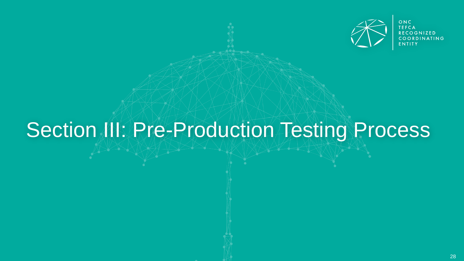

ONC **TEFCA RECOGNIZED** OORDINATING

# Section III: Pre-Production Testing Process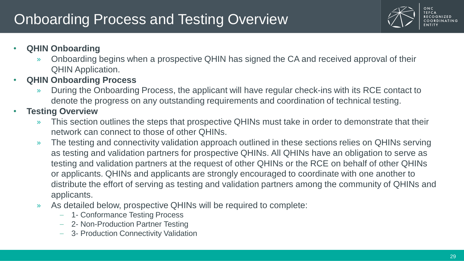# **Onboarding Process and Testing Overview**



**TFFCA** COORDINATING

- **QHIN Onboarding**
	- » Onboarding begins when a prospective QHIN has signed the CA and received approval of their QHIN Application.
- **QHIN Onboarding Process**
	- » During the Onboarding Process, the applicant will have regular check-ins with its RCE contact to denote the progress on any outstanding requirements and coordination of technical testing.
- **Testing Overview**
	- » This section outlines the steps that prospective QHINs must take in order to demonstrate that their network can connect to those of other QHINs.
	- » The testing and connectivity validation approach outlined in these sections relies on QHINs serving as testing and validation partners for prospective QHINs. All QHINs have an obligation to serve as testing and validation partners at the request of other QHINs or the RCE on behalf of other QHINs or applicants. QHINs and applicants are strongly encouraged to coordinate with one another to distribute the effort of serving as testing and validation partners among the community of QHINs and applicants.
	- » As detailed below, prospective QHINs will be required to complete:
		- 1- Conformance Testing Process
		- 2- Non-Production Partner Testing
		- 3- Production Connectivity Validation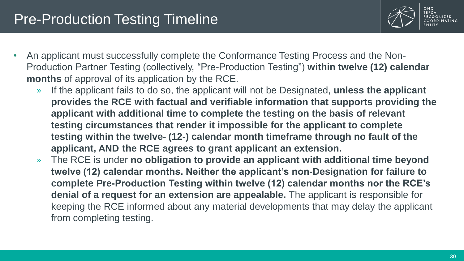#### Pre-Production Testing Timeline



- An applicant must successfully complete the Conformance Testing Process and the Non-Production Partner Testing (collectively, "Pre-Production Testing") **within twelve (12) calendar months** of approval of its application by the RCE.
	- » If the applicant fails to do so, the applicant will not be Designated, **unless the applicant provides the RCE with factual and verifiable information that supports providing the applicant with additional time to complete the testing on the basis of relevant testing circumstances that render it impossible for the applicant to complete testing within the twelve- (12-) calendar month timeframe through no fault of the applicant, AND the RCE agrees to grant applicant an extension.**
	- » The RCE is under **no obligation to provide an applicant with additional time beyond twelve (12) calendar months. Neither the applicant's non-Designation for failure to complete Pre-Production Testing within twelve (12) calendar months nor the RCE's denial of a request for an extension are appealable.** The applicant is responsible for keeping the RCE informed about any material developments that may delay the applicant from completing testing.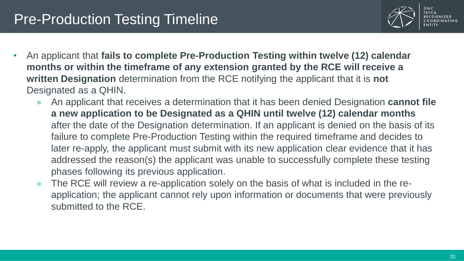#### **Pre-Production Testing Timeline**



- An applicant that **fails to complete Pre-Production Testing within twelve (12) calendar months or within the timeframe of any extension granted by the RCE will receive a written Designation** determination from the RCE notifying the applicant that it is **not** Designated as a QHIN.
	- » An applicant that receives a determination that it has been denied Designation **cannot file a new application to be Designated as a QHIN until twelve (12) calendar months** after the date of the Designation determination. If an applicant is denied on the basis of its failure to complete Pre-Production Testing within the required timeframe and decides to later re-apply, the applicant must submit with its new application clear evidence that it has addressed the reason(s) the applicant was unable to successfully complete these testing phases following its previous application.
	- » The RCE will review a re-application solely on the basis of what is included in the reapplication; the applicant cannot rely upon information or documents that were previously submitted to the RCE.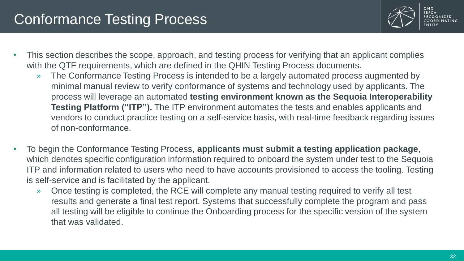

- This section describes the scope, approach, and testing process for verifying that an applicant complies with the QTF requirements, which are defined in the QHIN Testing Process documents.
	- » The Conformance Testing Process is intended to be a largely automated process augmented by minimal manual review to verify conformance of systems and technology used by applicants. The process will leverage an automated **testing environment known as the Sequoia Interoperability Testing Platform ("ITP").** The ITP environment automates the tests and enables applicants and vendors to conduct practice testing on a self-service basis, with real-time feedback regarding issues of non-conformance.
- To begin the Conformance Testing Process, **applicants must submit a testing application package**, which denotes specific configuration information required to onboard the system under test to the Sequoia ITP and information related to users who need to have accounts provisioned to access the tooling. Testing is self-service and is facilitated by the applicant.
	- » Once testing is completed, the RCE will complete any manual testing required to verify all test results and generate a final test report. Systems that successfully complete the program and pass all testing will be eligible to continue the Onboarding process for the specific version of the system that was validated.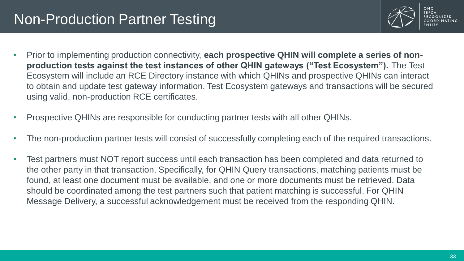#### Non-Production Partner Testing



- Prior to implementing production connectivity, **each prospective QHIN will complete a series of nonproduction tests against the test instances of other QHIN gateways ("Test Ecosystem").** The Test Ecosystem will include an RCE Directory instance with which QHINs and prospective QHINs can interact to obtain and update test gateway information. Test Ecosystem gateways and transactions will be secured using valid, non-production RCE certificates.
- Prospective QHINs are responsible for conducting partner tests with all other QHINs.
- The non-production partner tests will consist of successfully completing each of the required transactions.
- Test partners must NOT report success until each transaction has been completed and data returned to the other party in that transaction. Specifically, for QHIN Query transactions, matching patients must be found, at least one document must be available, and one or more documents must be retrieved. Data should be coordinated among the test partners such that patient matching is successful. For QHIN Message Delivery, a successful acknowledgement must be received from the responding QHIN.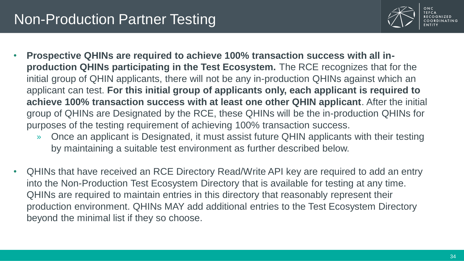#### Non-Production Partner Testing



- **Prospective QHINs are required to achieve 100% transaction success with all inproduction QHINs participating in the Test Ecosystem.** The RCE recognizes that for the initial group of QHIN applicants, there will not be any in-production QHINs against which an applicant can test. **For this initial group of applicants only, each applicant is required to achieve 100% transaction success with at least one other QHIN applicant**. After the initial group of QHINs are Designated by the RCE, these QHINs will be the in-production QHINs for purposes of the testing requirement of achieving 100% transaction success.
	- » Once an applicant is Designated, it must assist future QHIN applicants with their testing by maintaining a suitable test environment as further described below.
- QHINs that have received an RCE Directory Read/Write API key are required to add an entry into the Non-Production Test Ecosystem Directory that is available for testing at any time. QHINs are required to maintain entries in this directory that reasonably represent their production environment. QHINs MAY add additional entries to the Test Ecosystem Directory beyond the minimal list if they so choose.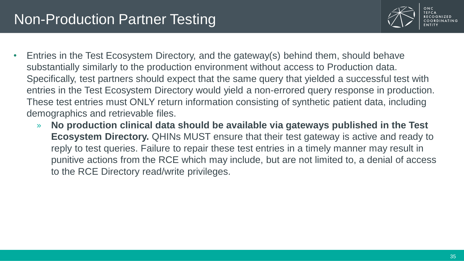#### Non-Production Partner Testing



- Entries in the Test Ecosystem Directory, and the gateway(s) behind them, should behave substantially similarly to the production environment without access to Production data. Specifically, test partners should expect that the same query that yielded a successful test with entries in the Test Ecosystem Directory would yield a non-errored query response in production. These test entries must ONLY return information consisting of synthetic patient data, including demographics and retrievable files.
	- » **No production clinical data should be available via gateways published in the Test Ecosystem Directory.** QHINs MUST ensure that their test gateway is active and ready to reply to test queries. Failure to repair these test entries in a timely manner may result in punitive actions from the RCE which may include, but are not limited to, a denial of access to the RCE Directory read/write privileges.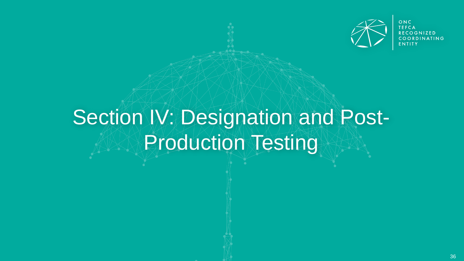

ONC **TEFCA RECOGNIZED** DINATING

# Section IV: Designation and Post-**PRAProduction Testing**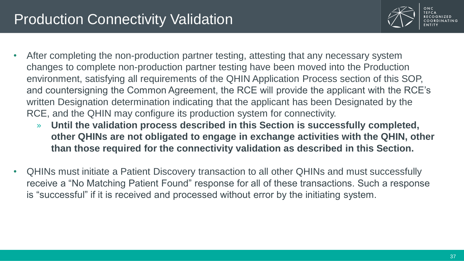

- After completing the non-production partner testing, attesting that any necessary system changes to complete non-production partner testing have been moved into the Production environment, satisfying all requirements of the QHIN Application Process section of this SOP, and countersigning the Common Agreement, the RCE will provide the applicant with the RCE's written Designation determination indicating that the applicant has been Designated by the RCE, and the QHIN may configure its production system for connectivity.
	- » **Until the validation process described in this Section is successfully completed, other QHINs are not obligated to engage in exchange activities with the QHIN, other than those required for the connectivity validation as described in this Section.**
- QHINs must initiate a Patient Discovery transaction to all other QHINs and must successfully receive a "No Matching Patient Found" response for all of these transactions. Such a response is "successful" if it is received and processed without error by the initiating system.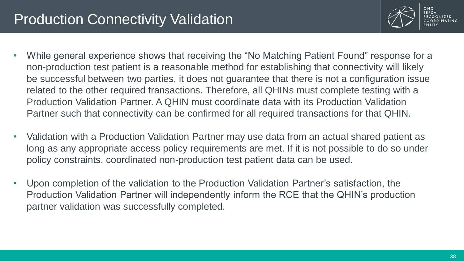

- While general experience shows that receiving the "No Matching Patient Found" response for a non-production test patient is a reasonable method for establishing that connectivity will likely be successful between two parties, it does not guarantee that there is not a configuration issue related to the other required transactions. Therefore, all QHINs must complete testing with a Production Validation Partner. A QHIN must coordinate data with its Production Validation Partner such that connectivity can be confirmed for all required transactions for that QHIN.
- Validation with a Production Validation Partner may use data from an actual shared patient as long as any appropriate access policy requirements are met. If it is not possible to do so under policy constraints, coordinated non-production test patient data can be used.
- Upon completion of the validation to the Production Validation Partner's satisfaction, the Production Validation Partner will independently inform the RCE that the QHIN's production partner validation was successfully completed.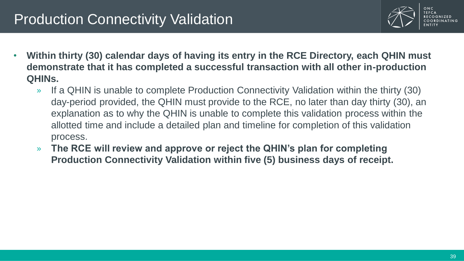

- **Within thirty (30) calendar days of having its entry in the RCE Directory, each QHIN must demonstrate that it has completed a successful transaction with all other in-production QHINs.** 
	- » If a QHIN is unable to complete Production Connectivity Validation within the thirty (30) day-period provided, the QHIN must provide to the RCE, no later than day thirty (30), an explanation as to why the QHIN is unable to complete this validation process within the allotted time and include a detailed plan and timeline for completion of this validation process.
	- » **The RCE will review and approve or reject the QHIN's plan for completing Production Connectivity Validation within five (5) business days of receipt.**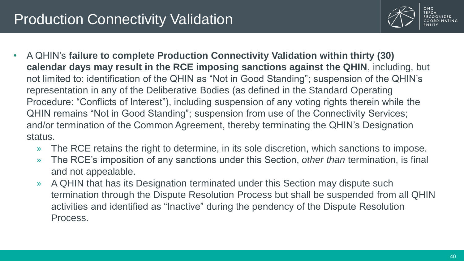

• A QHIN's **failure to complete Production Connectivity Validation within thirty (30) calendar days may result in the RCE imposing sanctions against the QHIN**, including, but not limited to: identification of the QHIN as "Not in Good Standing"; suspension of the QHIN's representation in any of the Deliberative Bodies (as defined in the Standard Operating Procedure: "Conflicts of Interest"), including suspension of any voting rights therein while the QHIN remains "Not in Good Standing"; suspension from use of the Connectivity Services; and/or termination of the Common Agreement, thereby terminating the QHIN's Designation status.

- » The RCE retains the right to determine, in its sole discretion, which sanctions to impose.
- » The RCE's imposition of any sanctions under this Section, *other than* termination, is final and not appealable.
- » A QHIN that has its Designation terminated under this Section may dispute such termination through the Dispute Resolution Process but shall be suspended from all QHIN activities and identified as "Inactive" during the pendency of the Dispute Resolution Process.